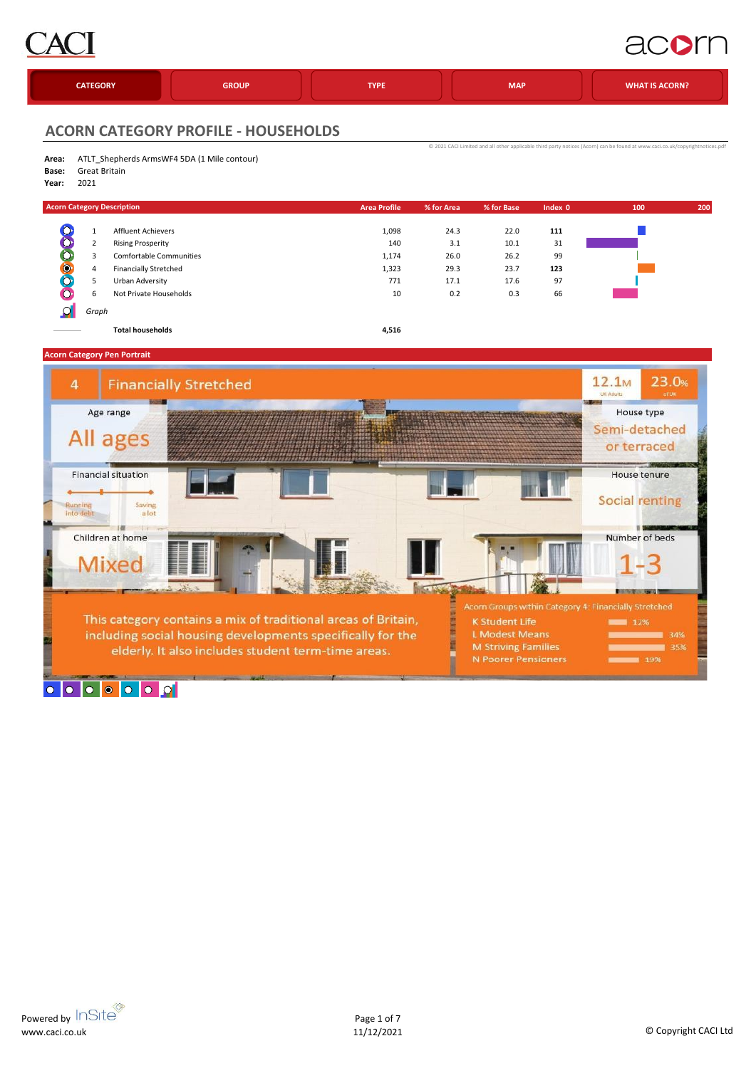

### acom

| <b>CATEGORY</b> | <b>GROUP</b> | <b>TYPE</b> | <b>MAP</b> | <b>WHAT IS ACORN?</b> |
|-----------------|--------------|-------------|------------|-----------------------|
|                 |              |             |            |                       |

[©](http://www.caci.co.uk/copyrightnotices.pdf) 2021 CACI Limited and all other

#### **ACORN CATEGORY PROFILE - HOUSEHOLDS**

| Area: ATLT_Shepherds ArmsWF4 5DA (1 Mile contour) |
|---------------------------------------------------|

- **Base:** Great Britain
- **Year:** 2021

|           |       | <b>Acorn Category Description</b> | <b>Area Profile</b> | % for Area | % for Base | Index 0 | 100 | 200 |
|-----------|-------|-----------------------------------|---------------------|------------|------------|---------|-----|-----|
| O         |       | <b>Affluent Achievers</b>         | 1,098               | 24.3       | 22.0       | 111     |     |     |
|           |       | <b>Rising Prosperity</b>          | 140                 | 3.1        | 10.1       | 31      |     |     |
| 8         | 3     | Comfortable Communities           | 1,174               | 26.0       | 26.2       | 99      |     |     |
| $\bullet$ | 4     | <b>Financially Stretched</b>      | 1,323               | 29.3       | 23.7       | 123     |     |     |
| O         |       | Urban Adversity                   | 771                 | 17.1       | 17.6       | 97      |     |     |
|           | b     | Not Private Households            | 10                  | 0.2        | 0.3        | 66      |     |     |
|           | Graph |                                   |                     |            |            |         |     |     |

**Total households 4,516**

**Acorn Category Pen Portrait**

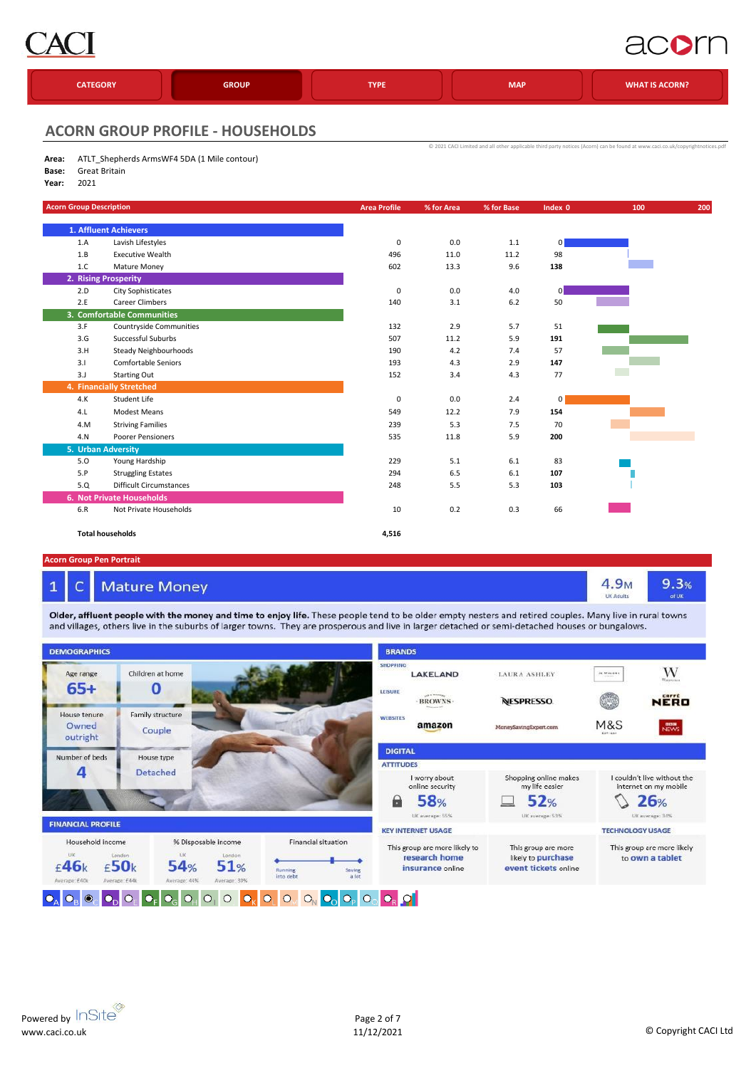

## acorn

| <b>CATEGORY</b> | <b>GROUP</b> | <b>TYPE</b> | <b>MAP</b> | <b>WHAT IS ACORN?</b> |
|-----------------|--------------|-------------|------------|-----------------------|
|                 |              |             |            |                       |

[©](http://www.caci.co.uk/copyrightnotices.pdf) 2021 CACI Limited and all

#### **ACORN GROUP PROFILE - HOUSEHOLDS**

- **Area:** ATLT\_Shepherds ArmsWF4 5DA (1 Mile contour)
- **Base:** Great Britain
- **Year:** 2021

| <b>Acorn Group Description</b> |                                  | <b>Area Profile</b> | % for Area | % for Base | Index $\overline{0}$ | 100 | 200 |
|--------------------------------|----------------------------------|---------------------|------------|------------|----------------------|-----|-----|
|                                | 1. Affluent Achievers            |                     |            |            |                      |     |     |
| 1.A                            | Lavish Lifestyles                | 0                   | 0.0        | 1.1        | 0                    |     |     |
| 1.B                            | <b>Executive Wealth</b>          | 496                 | 11.0       | 11.2       | 98                   |     |     |
| 1.C                            | Mature Money                     | 602                 | 13.3       | 9.6        | 138                  |     |     |
|                                | 2. Rising Prosperity             |                     |            |            |                      |     |     |
| 2.D                            | <b>City Sophisticates</b>        | $\mathbf 0$         | 0.0        | 4.0        | 0                    |     |     |
| 2.E                            | <b>Career Climbers</b>           | 140                 | 3.1        | 6.2        | 50                   |     |     |
|                                | 3. Comfortable Communities       |                     |            |            |                      |     |     |
| 3.F                            | <b>Countryside Communities</b>   | 132                 | 2.9        | 5.7        | 51                   |     |     |
| 3.G                            | Successful Suburbs               | 507                 | 11.2       | 5.9        | 191                  |     |     |
| 3.H                            | Steady Neighbourhoods            | 190                 | 4.2        | 7.4        | 57                   |     |     |
| 3.1                            | <b>Comfortable Seniors</b>       | 193                 | 4.3        | 2.9        | 147                  |     |     |
| 3.J                            | <b>Starting Out</b>              | 152                 | 3.4        | 4.3        | 77                   |     |     |
|                                | 4. Financially Stretched         |                     |            |            |                      |     |     |
| 4.K                            | Student Life                     | $\mathbf 0$         | 0.0        | 2.4        | 0                    |     |     |
| 4.L                            | <b>Modest Means</b>              | 549                 | 12.2       | 7.9        | 154                  |     |     |
| 4.M                            | <b>Striving Families</b>         | 239                 | 5.3        | 7.5        | 70                   |     |     |
| 4.N                            | Poorer Pensioners                | 535                 | 11.8       | 5.9        | 200                  |     |     |
| 5. Urban Adversity             |                                  |                     |            |            |                      |     |     |
| 5.0                            | Young Hardship                   | 229                 | 5.1        | 6.1        | 83                   |     |     |
| 5.P                            | <b>Struggling Estates</b>        | 294                 | 6.5        | 6.1        | 107                  |     |     |
| 5.Q                            | <b>Difficult Circumstances</b>   | 248                 | 5.5        | 5.3        | 103                  |     |     |
|                                | <b>6. Not Private Households</b> |                     |            |            |                      |     |     |
| 6.R                            | Not Private Households           | 10                  | 0.2        | 0.3        | 66                   |     |     |
|                                | <b>Total households</b>          | 4,516               |            |            |                      |     |     |

#### **Acorn Group Pen Portrait**

 $\mathbf{1}$ 

#### **Mature Money**  $\epsilon$

Older, affluent people with the money and time to enjoy life. These people tend to be older empty nesters and retired couples. Many live in rural towns and villages, others live in the suburbs of larger towns. They are prosperous and live in larger detached or semi-detached houses or bungalows.



 $9.3%$ 

4.9<sub>M</sub>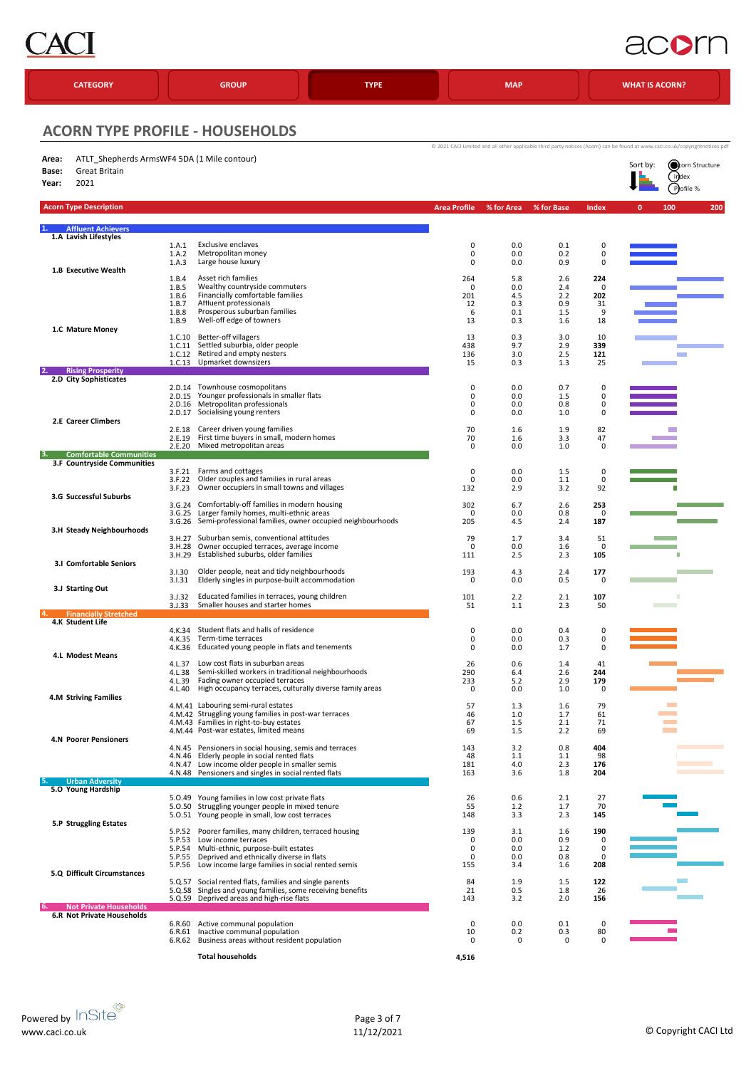

## acom

| <b>CATEGORY</b>                                                                                 |                                                    | <b>GROUP</b>                                                                                                                                                                                                                 | <b>TYPE</b> |                                   | <b>MAP</b>                             |                                        |                                  | <b>WHAT IS ACORN?</b>                                                                                                                                                                   |
|-------------------------------------------------------------------------------------------------|----------------------------------------------------|------------------------------------------------------------------------------------------------------------------------------------------------------------------------------------------------------------------------------|-------------|-----------------------------------|----------------------------------------|----------------------------------------|----------------------------------|-----------------------------------------------------------------------------------------------------------------------------------------------------------------------------------------|
| <b>ACORN TYPE PROFILE - HOUSEHOLDS</b>                                                          |                                                    |                                                                                                                                                                                                                              |             |                                   |                                        |                                        |                                  |                                                                                                                                                                                         |
| ATLT Shepherds ArmsWF4 5DA (1 Mile contour)<br>Area:<br>Great Britain<br>Base:<br>2021<br>Year: |                                                    |                                                                                                                                                                                                                              |             |                                   |                                        |                                        |                                  | @ 2021 CACI Limited and all other applicable third party notices (Acorn) can be found at www.caci.co.uk/copyrightnotices.pdf<br><b>Ocean</b> Structure<br>Sort by:<br>Index<br>Pofile % |
| <b>Acorn Type Description</b>                                                                   |                                                    |                                                                                                                                                                                                                              |             | <b>Area Profile</b>               | % for Area                             | % for Base                             | Index                            | 200<br>$\mathbf{0}$<br>100                                                                                                                                                              |
| <b>Affluent Achievers</b><br>1.A Lavish Lifestyles                                              |                                                    |                                                                                                                                                                                                                              |             |                                   |                                        |                                        |                                  |                                                                                                                                                                                         |
| 1.B Executive Wealth                                                                            | 1.A.1<br>1.A.2<br>1.A.3                            | <b>Exclusive enclaves</b><br>Metropolitan money<br>Large house luxury                                                                                                                                                        |             | $\pmb{0}$<br>$\pmb{0}$<br>0       | 0.0<br>0.0<br>0.0                      | 0.1<br>0.2<br>0.9                      | 0<br>0<br>0                      |                                                                                                                                                                                         |
|                                                                                                 | 1.B.4<br>1.B.5<br>1.B.6<br>1.B.7<br>1.B.8<br>1.B.9 | Asset rich families<br>Wealthy countryside commuters<br>Financially comfortable families<br>Affluent professionals<br>Prosperous suburban families<br>Well-off edge of towners                                               |             | 264<br>0<br>201<br>12<br>6<br>13  | 5.8<br>0.0<br>4.5<br>0.3<br>0.1<br>0.3 | 2.6<br>2.4<br>2.2<br>0.9<br>1.5<br>1.6 | 224<br>0<br>202<br>31<br>9<br>18 |                                                                                                                                                                                         |
| 1.C Mature Money                                                                                | 1.C.10<br>1.C.11                                   | Better-off villagers<br>Settled suburbia, older people<br>1.C.12 Retired and empty nesters<br>1.C.13 Upmarket downsizers                                                                                                     |             | 13<br>438<br>136<br>15            | 0.3<br>9.7<br>3.0<br>0.3               | 3.0<br>2.9<br>2.5<br>1.3               | 10<br>339<br>121<br>25           | <b>The Co</b>                                                                                                                                                                           |
| <b>Rising Prosperity</b><br>2.D City Sophisticates                                              |                                                    | 2.D.14 Townhouse cosmopolitans                                                                                                                                                                                               |             | 0                                 | 0.0                                    | 0.7                                    | 0                                |                                                                                                                                                                                         |
| 2.E Career Climbers                                                                             | 2.D.15<br>2.D.16<br>2.D.17                         | Younger professionals in smaller flats<br>Metropolitan professionals<br>Socialising young renters                                                                                                                            |             | 0<br>0<br>0                       | 0.0<br>0.0<br>0.0                      | 1.5<br>0.8<br>1.0                      | 0<br>0<br>$\mathbf 0$            |                                                                                                                                                                                         |
|                                                                                                 | 2.E.18<br>2.E.19<br>2.E.20                         | Career driven young families<br>First time buyers in small, modern homes<br>Mixed metropolitan areas                                                                                                                         |             | 70<br>70<br>0                     | 1.6<br>1.6<br>0.0                      | 1.9<br>3.3<br>1.0                      | 82<br>47<br>0                    |                                                                                                                                                                                         |
| <b>Comfortable Communities</b><br>3.F Countryside Communities                                   |                                                    |                                                                                                                                                                                                                              |             |                                   |                                        |                                        |                                  |                                                                                                                                                                                         |
| 3.G Successful Suburbs                                                                          | 3.F.21<br>3.F.22<br>3.F.23                         | Farms and cottages<br>Older couples and families in rural areas<br>Owner occupiers in small towns and villages                                                                                                               |             | 0<br>0<br>132                     | 0.0<br>0.0<br>2.9                      | 1.5<br>1.1<br>3.2                      | 0<br>0<br>92                     |                                                                                                                                                                                         |
| 3.H Steady Neighbourhoods                                                                       | 3.6.24                                             | Comfortably-off families in modern housing<br>3.G.25 Larger family homes, multi-ethnic areas<br>3.G.26 Semi-professional families, owner occupied neighbourhoods                                                             |             | 302<br>0<br>205                   | 6.7<br>0.0<br>4.5                      | 2.6<br>0.8<br>2.4                      | 253<br>0<br>187                  |                                                                                                                                                                                         |
| 3.1 Comfortable Seniors                                                                         | 3.H.28<br>3.H.29                                   | 3.H.27 Suburban semis, conventional attitudes<br>Owner occupied terraces, average income<br>Established suburbs, older families                                                                                              |             | 79<br>0<br>111                    | 1.7<br>0.0<br>2.5                      | 3.4<br>1.6<br>2.3                      | 51<br>$\mathbf 0$<br>105         |                                                                                                                                                                                         |
| 3.J Starting Out                                                                                | 3.1.30<br>3.1.31<br>3.J.32                         | Older people, neat and tidy neighbourhoods<br>Elderly singles in purpose-built accommodation<br>Educated families in terraces, young children                                                                                |             | 193<br>0<br>101                   | 4.3<br>0.0<br>2.2                      | 2.4<br>0.5<br>2.1                      | 177<br>0<br>107                  |                                                                                                                                                                                         |
| <b>Financially Stretched</b>                                                                    | 3.1.33                                             | Smaller houses and starter homes                                                                                                                                                                                             |             | 51                                | 1.1                                    | 2.3                                    | 50                               |                                                                                                                                                                                         |
| 4.K Student Life                                                                                | 4.K.34<br>4.K.35<br>4.K.36                         | Student flats and halls of residence<br>Term-time terraces<br>Educated young people in flats and tenements                                                                                                                   |             | 0<br>0<br>0                       | 0.0<br>0.0<br>0.0                      | 0.4<br>0.3<br>1.7                      | 0<br>0<br>0                      |                                                                                                                                                                                         |
| <b>4.L Modest Means</b>                                                                         | 4.L.37<br>4.L.38<br>4.L.39<br>4.L.40               | Low cost flats in suburban areas<br>Semi-skilled workers in traditional neighbourhoods<br>Fading owner occupied terraces<br>High occupancy terraces, culturally diverse family areas                                         |             | 26<br>290<br>233<br>0             | 0.6<br>6.4<br>5.2<br>0.0               | 1.4<br>2.6<br>2.9<br>1.0               | 41<br>244<br>179<br>0            |                                                                                                                                                                                         |
| <b>4.M Striving Families</b>                                                                    |                                                    | 4.M.41 Labouring semi-rural estates<br>4.M.42 Struggling young families in post-war terraces<br>4.M.43 Families in right-to-buy estates                                                                                      |             | 57<br>46<br>67                    | 1.3<br>1.0<br>1.5                      | 1.6<br>1.7<br>2.1                      | 79<br>61<br>71                   | <b>Contract</b>                                                                                                                                                                         |
| <b>4.N Poorer Pensioners</b>                                                                    |                                                    | 4.M.44 Post-war estates, limited means<br>4.N.45 Pensioners in social housing, semis and terraces<br>4.N.46 Elderly people in social rented flats                                                                            |             | 69<br>143<br>48                   | 1.5<br>3.2<br>1.1                      | 2.2<br>0.8<br>1.1                      | 69<br>404<br>98                  |                                                                                                                                                                                         |
|                                                                                                 |                                                    | 4.N.47 Low income older people in smaller semis<br>4.N.48 Pensioners and singles in social rented flats                                                                                                                      |             | 181<br>163                        | 4.0<br>3.6                             | 2.3<br>1.8                             | 176<br>204                       | <b>Contract</b><br><b>Contract</b><br><b>Contract Contract Contract</b>                                                                                                                 |
| <b>Urban Adversity</b><br>5.0 Young Hardship                                                    |                                                    |                                                                                                                                                                                                                              |             |                                   |                                        |                                        |                                  |                                                                                                                                                                                         |
| 5.P Struggling Estates                                                                          |                                                    | 5.0.49 Young families in low cost private flats<br>5.0.50 Struggling younger people in mixed tenure<br>5.0.51 Young people in small, low cost terraces                                                                       |             | 26<br>55<br>148                   | 0.6<br>1.2<br>3.3                      | 2.1<br>1.7<br>2.3                      | 27<br>70<br>145                  |                                                                                                                                                                                         |
|                                                                                                 | 5.P.52<br>5.P.53<br>5.P.54                         | Poorer families, many children, terraced housing<br>Low income terraces<br>Multi-ethnic, purpose-built estates<br>5.P.55 Deprived and ethnically diverse in flats<br>5.P.56 Low income large families in social rented semis |             | 139<br>0<br>0<br>$\pmb{0}$<br>155 | 3.1<br>0.0<br>0.0<br>0.0<br>3.4        | 1.6<br>0.9<br>$1.2$<br>0.8<br>1.6      | 190<br>0<br>0<br>0<br>208        |                                                                                                                                                                                         |
| 5.Q Difficult Circumstances                                                                     |                                                    | 5.Q.57 Social rented flats, families and single parents<br>5.Q.58 Singles and young families, some receiving benefits<br>5.Q.59 Deprived areas and high-rise flats                                                           |             | 84<br>21<br>143                   | 1.9<br>0.5<br>3.2                      | 1.5<br>1.8<br>2.0                      | 122<br>26<br>156                 |                                                                                                                                                                                         |
| <b>Not Private Households</b><br><b>6.R Not Private Households</b>                              |                                                    | 6.R.60 Active communal population<br>6.R.61 Inactive communal population<br>6.R.62 Business areas without resident population                                                                                                |             | 0<br>10<br>0                      | 0.0<br>0.2<br>0                        | 0.1<br>0.3<br>0                        | 0<br>80<br>$\Omega$              |                                                                                                                                                                                         |
|                                                                                                 |                                                    | <b>Total households</b>                                                                                                                                                                                                      |             | 4,516                             |                                        |                                        |                                  |                                                                                                                                                                                         |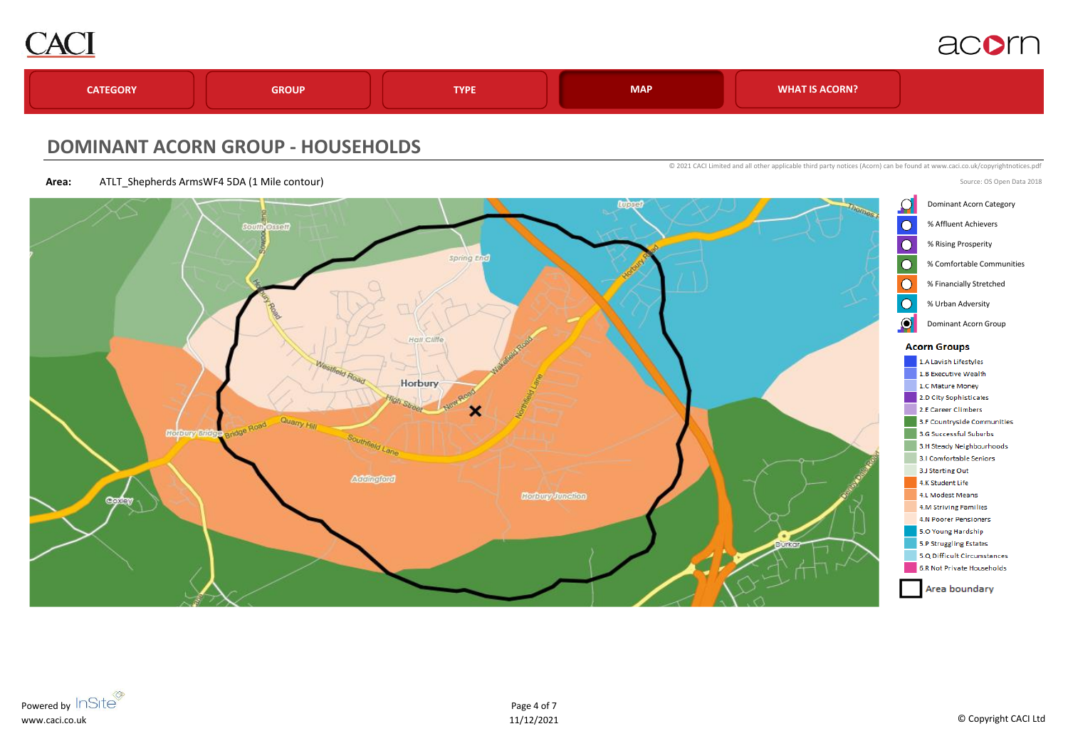



#### **DOMINANT ACORN GROUP - HOUSEHOLDS**

**Area:** ATLT\_Shepherds ArmsWF4 5DA (1 Mile contour)

© 2021 CACI Limited and all other applicable third party notices (Acorn) can be found at www.caci.co.uk/copyrightnotices.pdf



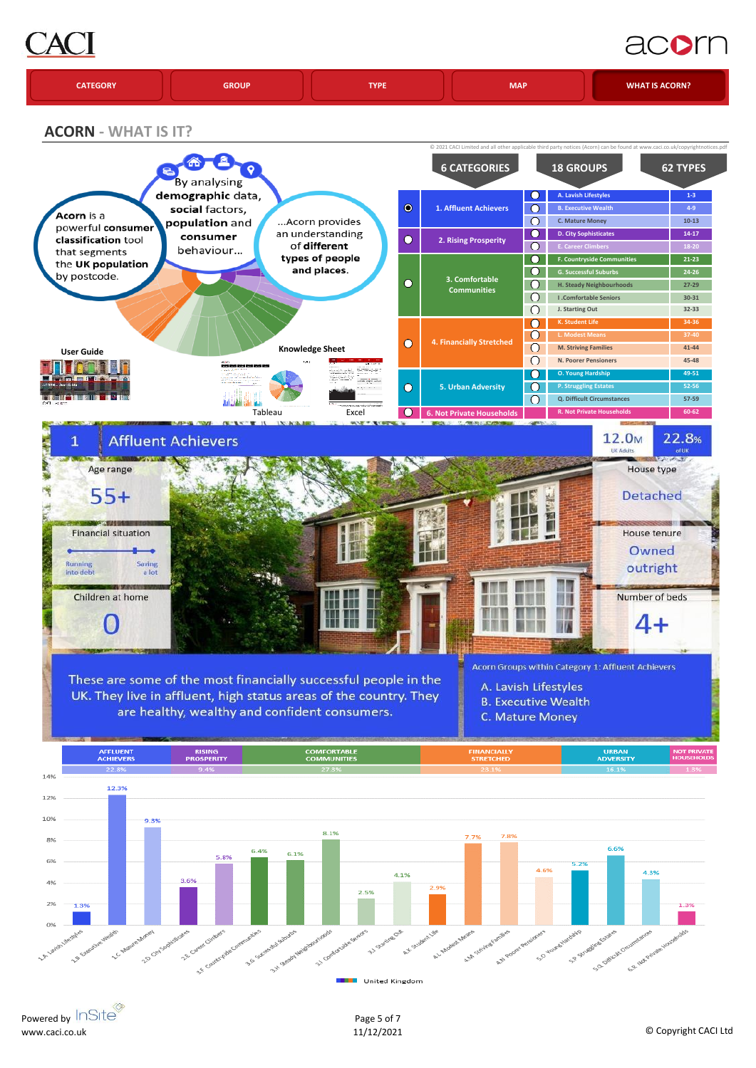# AC

# acorn

|  | <b>CATEGORY</b> | <b>GROUP</b> | <b>TVDF</b> | <b>MAP</b> | <b>WHAT IS ACORN?</b> |
|--|-----------------|--------------|-------------|------------|-----------------------|
|--|-----------------|--------------|-------------|------------|-----------------------|

**ACORN - WHAT IS IT?**



Powered by InSite® www.caci.co.uk

Page 5 of 7

United Kingdom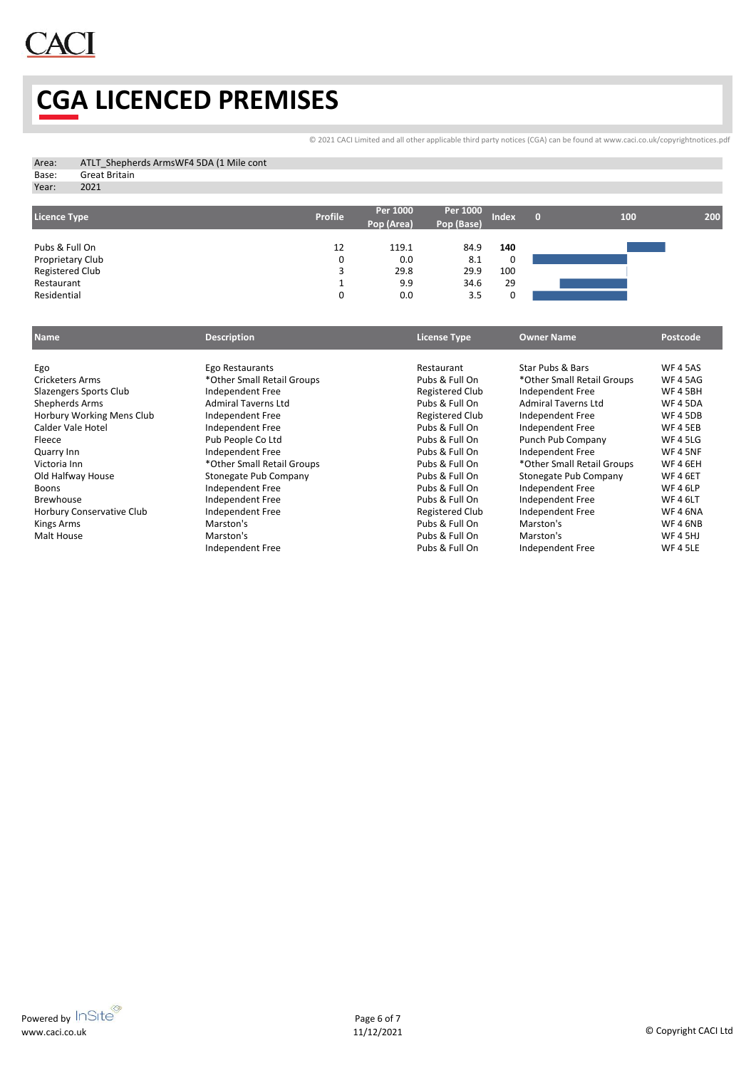

## **CGA LICENCED PREMISES**

[©](http://www.caci.co.uk/copyrightnotices.pdf) 2021 CACI Limited and all other applicable third party notices (CGA) can be found at www.caci.co.uk/copyrightnotices.pdf

| Area: | ATLT Shepherds ArmsWF4 5DA (1 Mile cont |
|-------|-----------------------------------------|
| Base: | Great Britain                           |

Year: 2021

| Licence Type     | <b>Profile</b> | Per 1000<br>Pop (Area) | Per 1000<br>Pop (Base) | Index. | 100 | 200 |
|------------------|----------------|------------------------|------------------------|--------|-----|-----|
|                  |                |                        |                        |        |     |     |
| Pubs & Full On   | 12             | 119.1                  | 84.9                   | 140    |     |     |
| Proprietary Club | 0              | 0.0                    | 8.1                    | 0      |     |     |
| Registered Club  |                | 29.8                   | 29.9                   | 100    |     |     |
| Restaurant       |                | 9.9                    | 34.6                   | 29     |     |     |
| Residential      | 0              | 0.0                    | 3.5                    | 0      |     |     |

| <b>Name</b>               | <b>Description</b>         | <b>License Type</b> | <b>Owner Name</b>          | Postcode        |
|---------------------------|----------------------------|---------------------|----------------------------|-----------------|
|                           |                            |                     |                            |                 |
| Ego                       | Ego Restaurants            | Restaurant          | Star Pubs & Bars           | <b>WF 4 5AS</b> |
| <b>Cricketers Arms</b>    | *Other Small Retail Groups | Pubs & Full On      | *Other Small Retail Groups | <b>WF 4 5AG</b> |
| Slazengers Sports Club    | Independent Free           | Registered Club     | Independent Free           | <b>WF45BH</b>   |
| Shepherds Arms            | <b>Admiral Taverns Ltd</b> | Pubs & Full On      | <b>Admiral Taverns Ltd</b> | <b>WF45DA</b>   |
| Horbury Working Mens Club | Independent Free           | Registered Club     | Independent Free           | <b>WF45DB</b>   |
| Calder Vale Hotel         | Independent Free           | Pubs & Full On      | Independent Free           | <b>WF 4 5EB</b> |
| Fleece                    | Pub People Co Ltd          | Pubs & Full On      | Punch Pub Company          | <b>WF 4 5LG</b> |
| Quarry Inn                | Independent Free           | Pubs & Full On      | Independent Free           | <b>WF45NF</b>   |
| Victoria Inn              | *Other Small Retail Groups | Pubs & Full On      | *Other Small Retail Groups | <b>WF46EH</b>   |
| Old Halfway House         | Stonegate Pub Company      | Pubs & Full On      | Stonegate Pub Company      | <b>WF46ET</b>   |
| <b>Boons</b>              | Independent Free           | Pubs & Full On      | Independent Free           | <b>WF46LP</b>   |
| <b>Brewhouse</b>          | Independent Free           | Pubs & Full On      | Independent Free           | <b>WF46LT</b>   |
| Horbury Conservative Club | Independent Free           | Registered Club     | Independent Free           | <b>WF46NA</b>   |
| Kings Arms                | Marston's                  | Pubs & Full On      | Marston's                  | <b>WF46NB</b>   |
| Malt House                | Marston's                  | Pubs & Full On      | Marston's                  | <b>WF 4 5HJ</b> |
|                           | Independent Free           | Pubs & Full On      | Independent Free           | <b>WF 4 5LE</b> |